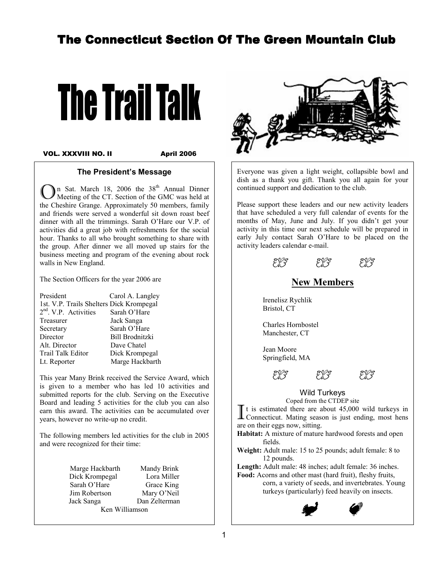# The Connecticut Section Of The Green Mountain Club



VOL. XXXVIII NO. II

April 2006

#### The President's Message

In Sat. March 18, 2006 the  $38<sup>th</sup>$  Annual Dinner Meeting of the CT. Section of the GMC was held at the Cheshire Grange. Approximately 50 members, family and friends were served a wonderful sit down roast beef dinner with all the trimmings. Sarah O'Hare our V.P. of activities did a great job with refreshments for the social hour. Thanks to all who brought something to share with the group. After dinner we all moved up stairs for the business meeting and program of the evening about rock walls in New England.

The Section Officers for the year 2006 are

| Carol A. Langley                         |
|------------------------------------------|
| 1st. V.P. Trails Shelters Dick Krompegal |
| Sarah O'Hare                             |
| Jack Sanga                               |
| Sarah O'Hare                             |
| <b>Bill Brodnitzki</b>                   |
| Dave Chatel                              |
| Dick Krompegal                           |
| Marge Hackbarth                          |
|                                          |

This year Many Brink received the Service Award, which is given to a member who has led 10 activities and submitted reports for the club. Serving on the Executive Board and leading 5 activities for the club you can also earn this award. The activities can be accumulated over years, however no write-up no credit.

The following members led activities for the club in 2005 and were recognized for their time:

| Marge Hackbarth | Mandy Brink   |  |
|-----------------|---------------|--|
| Dick Krompegal  | Lora Miller   |  |
| Sarah O'Hare    | Grace King    |  |
| Jim Robertson   | Mary O'Neil   |  |
| Jack Sanga      | Dan Zelterman |  |
| Ken Williamson  |               |  |



Everyone was given a light weight, collapsible bowl and dish as a thank you gift. Thank you all again for your continued support and dedication to the club.

Please support these leaders and our new activity leaders that have scheduled a very full calendar of events for the months of May, June and July. If you didn't get your activity in this time our next schedule will be prepared in early July contact Sarah O'Hare to be placed on the activity leaders calendar e-mail.

D D D D D

New Members

 Irenelisz Rychlik Bristol, CT

 Charles Hornbostel Manchester, CT

 Jean Moore Springfield, MA

D D D

Wild Turkeys<br>Coped from the CTDEP site

Coped from the CTDEP site<br>
I t is estimated there are about  $45,000$ <br>
Connecticut. Mating season is just enc t is estimated there are about 45,000 wild turkeys in Connecticut. Mating season is just ending, most hens are on their eggs now, sitting.

Habitat: A mixture of mature hardwood forests and open fields.

Weight: Adult male: 15 to 25 pounds; adult female: 8 to 12 pounds.

Length: Adult male: 48 inches; adult female: 36 inches. Food: Acorns and other mast (hard fruit), fleshy fruits, corn, a variety of seeds, and invertebrates. Young turkeys (particularly) feed heavily on insects.

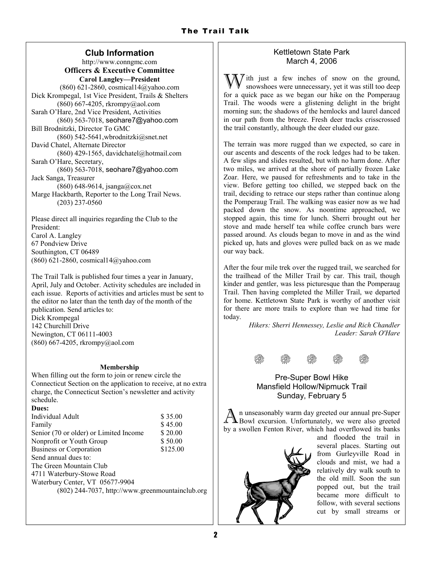# Club Information

http://www.conngmc.com Officers & Executive Committee Carol Langley—President (860) 621-2860, cosmical14@yahoo.com Dick Krompegal, 1st Vice President, Trails & Shelters (860) 667-4205, rkrompy@aol.com Sarah O'Hare, 2nd Vice President, Activities (860) 563-7018, seohare7@yahoo.com Bill Brodnitzki, Director To GMC  $(860)$  542-5641, wbrodnitzki@snet.net David Chatel, Alternate Director (860) 429-1565, davidchatel@hotmail.com Sarah O'Hare, Secretary, (860) 563-7018, seohare7@yahoo.com Jack Sanga, Treasurer (860) 648-9614, jsanga@cox.net Marge Hackbarth, Reporter to the Long Trail News. (203) 237-0560

Please direct all inquiries regarding the Club to the President: Carol A. Langley 67 Pondview Drive Southington, CT 06489 (860) 621-2860, cosmical14@yahoo.com

The Trail Talk is published four times a year in January, April, July and October. Activity schedules are included in each issue. Reports of activities and articles must be sent to the editor no later than the tenth day of the month of the publication. Send articles to: Dick Krompegal 142 Churchill Drive Newington, CT 06111-4003 (860) 667-4205, rkrompy@aol.com

#### Membership

When filling out the form to join or renew circle the Connecticut Section on the application to receive, at no extra charge, the Connecticut Section's newsletter and activity schedule. Dues:

| Dues:                                            |          |  |
|--------------------------------------------------|----------|--|
| Individual Adult                                 | \$35.00  |  |
| Family                                           | \$45.00  |  |
| Senior (70 or older) or Limited Income           | \$20.00  |  |
| Nonprofit or Youth Group                         | \$50.00  |  |
| <b>Business or Corporation</b>                   | \$125.00 |  |
| Send annual dues to:                             |          |  |
| The Green Mountain Club                          |          |  |
| 4711 Waterbury-Stowe Road                        |          |  |
| Waterbury Center, VT 05677-9904                  |          |  |
| (802) 244-7037, http://www.greenmountainclub.org |          |  |
|                                                  |          |  |

## Kettletown State Park March 4, 2006

 $\overrightarrow{y}$  ith just a few inches of snow on the ground, snowshoes were unnecessary, yet it was still too deep for a quick pace as we began our hike on the Pomperaug Trail. The woods were a glistening delight in the bright morning sun; the shadows of the hemlocks and laurel danced in our path from the breeze. Fresh deer tracks crisscrossed the trail constantly, although the deer eluded our gaze.

The terrain was more rugged than we expected, so care in our ascents and descents of the rock ledges had to be taken. A few slips and slides resulted, but with no harm done. After two miles, we arrived at the shore of partially frozen Lake Zoar. Here, we paused for refreshments and to take in the view. Before getting too chilled, we stepped back on the trail, deciding to retrace our steps rather than continue along the Pomperaug Trail. The walking was easier now as we had packed down the snow. As noontime approached, we stopped again, this time for lunch. Sherri brought out her stove and made herself tea while coffee crunch bars were passed around. As clouds began to move in and as the wind picked up, hats and gloves were pulled back on as we made our way back.

After the four mile trek over the rugged trail, we searched for the trailhead of the Miller Trail by car. This trail, though kinder and gentler, was less picturesque than the Pomperaug Trail. Then having completed the Miller Trail, we departed for home. Kettletown State Park is worthy of another visit for there are more trails to explore than we had time for today.

> Hikers: Sherri Hennessey, Leslie and Rich Chandler Leader: Sarah O'Hare



## Pre-Super Bowl Hike Mansfield Hollow/Nipmuck Trail Sunday, February 5

 $\overline{\rm A}$ n unseasonably warm day greeted our annual pre-Super Bowl excursion. Unfortunately, we were also greeted by a swollen Fenton River, which had overflowed its banks



and flooded the trail in several places. Starting out from Gurleyville Road in clouds and mist, we had a relatively dry walk south to the old mill. Soon the sun popped out, but the trail became more difficult to follow, with several sections cut by small streams or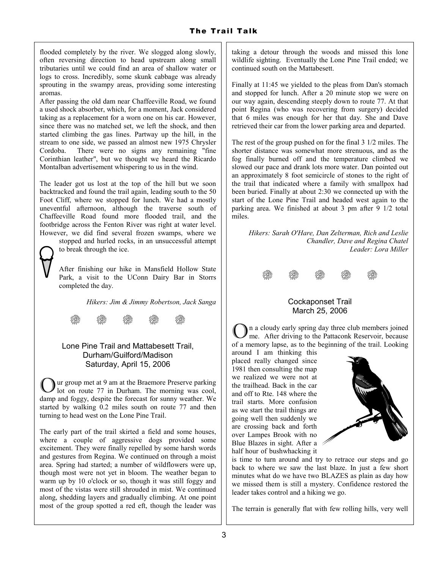flooded completely by the river. We slogged along slowly, often reversing direction to head upstream along small tributaries until we could find an area of shallow water or logs to cross. Incredibly, some skunk cabbage was already sprouting in the swampy areas, providing some interesting aromas.

After passing the old dam near Chaffeeville Road, we found a used shock absorber, which, for a moment, Jack considered taking as a replacement for a worn one on his car. However, since there was no matched set, we left the shock, and then started climbing the gas lines. Partway up the hill, in the stream to one side, we passed an almost new 1975 Chrysler Cordoba. There were no signs any remaining "fine Corinthian leather", but we thought we heard the Ricardo Montalban advertisement whispering to us in the wind.

The leader got us lost at the top of the hill but we soon backtracked and found the trail again, leading south to the 50 Foot Cliff, where we stopped for lunch. We had a mostly uneventful afternoon, although the traverse south of Chaffeeville Road found more flooded trail, and the footbridge across the Fenton River was right at water level. However, we did find several frozen swamps, where we stopped and hurled rocks, in an unsuccessful attempt



to break through the ice.

After finishing our hike in Mansfield Hollow State Park, a visit to the UConn Dairy Bar in Storrs completed the day.

Hikers: Jim & Jimmy Robertson, Jack Sanga



## Lone Pine Trail and Mattabesett Trail, Durham/Guilford/Madison Saturday, April 15, 2006

ur group met at 9 am at the Braemore Preserve parking lot on route 77 in Durham. The morning was cool, damp and foggy, despite the forecast for sunny weather. We started by walking 0.2 miles south on route 77 and then turning to head west on the Lone Pine Trail.

The early part of the trail skirted a field and some houses, where a couple of aggressive dogs provided some excitement. They were finally repelled by some harsh words and gestures from Regina. We continued on through a moist area. Spring had started; a number of wildflowers were up, though most were not yet in bloom. The weather began to warm up by 10 o'clock or so, though it was still foggy and most of the vistas were still shrouded in mist. We continued along, shedding layers and gradually climbing. At one point most of the group spotted a red eft, though the leader was taking a detour through the woods and missed this lone wildlife sighting. Eventually the Lone Pine Trail ended; we continued south on the Mattabesett.

Finally at 11:45 we yielded to the pleas from Dan's stomach and stopped for lunch. After a 20 minute stop we were on our way again, descending steeply down to route 77. At that point Regina (who was recovering from surgery) decided that 6 miles was enough for her that day. She and Dave retrieved their car from the lower parking area and departed.

The rest of the group pushed on for the final 3 1/2 miles. The shorter distance was somewhat more strenuous, and as the fog finally burned off and the temperature climbed we slowed our pace and drank lots more water. Dan pointed out an approximately 8 foot semicircle of stones to the right of the trail that indicated where a family with smallpox had been buried. Finally at about 2:30 we connected up with the start of the Lone Pine Trail and headed west again to the parking area. We finished at about 3 pm after 9 1/2 total miles.

Hikers: Sarah O'Hare, Dan Zelterman, Rich and Leslie Chandler, Dave and Regina Chatel Leader: Lora Miller



#### Cockaponset Trail March 25, 2006

In a cloudy early spring day three club members joined me. After driving to the Pattaconk Reservoir, because of a memory lapse, as to the beginning of the trail. Looking

around I am thinking this placed really changed since 1981 then consulting the map we realized we were not at the trailhead. Back in the car and off to Rte. 148 where the trail starts. More confusion as we start the trail things are going well then suddenly we are crossing back and forth over Lampes Brook with no Blue Blazes in sight. After a half hour of bushwhacking it



is time to turn around and try to retrace our steps and go back to where we saw the last blaze. In just a few short minutes what do we have two BLAZES as plain as day how we missed them is still a mystery. Confidence restored the leader takes control and a hiking we go.

The terrain is generally flat with few rolling hills, very well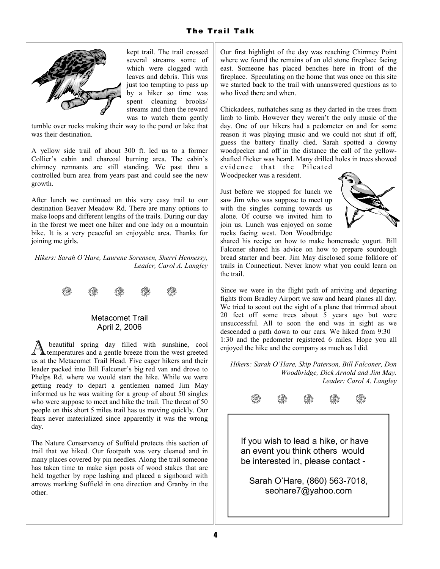

kept trail. The trail crossed several streams some of which were clogged with leaves and debris. This was just too tempting to pass up by a hiker so time was spent cleaning brooks/ streams and then the reward was to watch them gently

tumble over rocks making their way to the pond or lake that was their destination.

A yellow side trail of about 300 ft. led us to a former Collier's cabin and charcoal burning area. The cabin's chimney remnants are still standing. We past thru a controlled burn area from years past and could see the new growth.

After lunch we continued on this very easy trail to our destination Beaver Meadow Rd. There are many options to make loops and different lengths of the trails. During our day in the forest we meet one hiker and one lady on a mountain bike. It is a very peaceful an enjoyable area. Thanks for joining me girls.

Hikers: Sarah O'Hare, Laurene Sorensen, Sherri Hennessy, Leader, Carol A. Langley



## Metacomet Trail April 2, 2006

A beautiful spring day filled with sunshine, cool temperatures and a gentle breeze from the west greeted beautiful spring day filled with sunshine, cool us at the Metacomet Trail Head. Five eager hikers and their leader packed into Bill Falconer's big red van and drove to Phelps Rd. where we would start the hike. While we were getting ready to depart a gentlemen named Jim May informed us he was waiting for a group of about 50 singles who were suppose to meet and hike the trail. The threat of 50 people on this short 5 miles trail has us moving quickly. Our fears never materialized since apparently it was the wrong day.

The Nature Conservancy of Suffield protects this section of trail that we hiked. Our footpath was very cleaned and in many places covered by pin needles. Along the trail someone has taken time to make sign posts of wood stakes that are held together by rope lashing and placed a signboard with arrows marking Suffield in one direction and Granby in the other.

Our first highlight of the day was reaching Chimney Point where we found the remains of an old stone fireplace facing east. Someone has placed benches here in front of the fireplace. Speculating on the home that was once on this site we started back to the trail with unanswered questions as to who lived there and when.

Chickadees, nuthatches sang as they darted in the trees from limb to limb. However they weren't the only music of the day. One of our hikers had a pedometer on and for some reason it was playing music and we could not shut if off, guess the battery finally died. Sarah spotted a downy woodpecker and off in the distance the call of the yellowshafted flicker was heard. Many drilled holes in trees showed

evidence that the Pileated Woodpecker was a resident.

Just before we stopped for lunch we saw Jim who was suppose to meet up with the singles coming towards us alone. Of course we invited him to join us. Lunch was enjoyed on some rocks facing west. Don Woodbridge



shared his recipe on how to make homemade yogurt. Bill Falconer shared his advice on how to prepare sourdough bread starter and beer. Jim May disclosed some folklore of trails in Connecticut. Never know what you could learn on the trail.

Since we were in the flight path of arriving and departing fights from Bradley Airport we saw and heard planes all day. We tried to scout out the sight of a plane that trimmed about 20 feet off some trees about 5 years ago but were unsuccessful. All to soon the end was in sight as we descended a path down to our cars. We hiked from 9:30 – 1:30 and the pedometer registered 6 miles. Hope you all enjoyed the hike and the company as much as I did.

Hikers: Sarah O'Hare, Skip Paterson, Bill Falconer, Don Woodbridge, Dick Arnold and Jim May. Leader: Carol A. Langley



If you wish to lead a hike, or have an event you think others would be interested in, please contact -

Sarah O'Hare, (860) 563-7018, seohare7@yahoo.com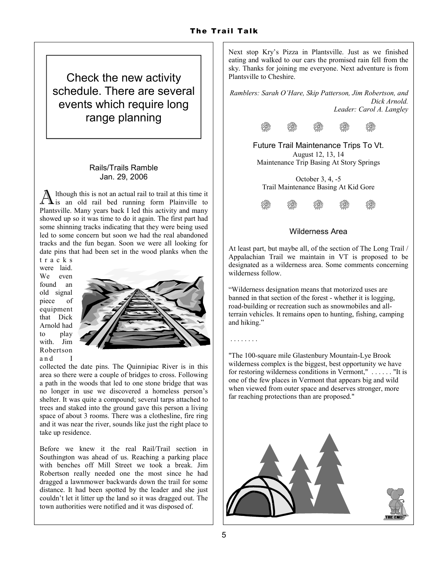Check the new activity schedule. There are several events which require long range planning

## Rails/Trails Ramble Jan. 29, 2006

 $\overline{\rm A}$ lthough this is not an actual rail to trail at this time it is an old rail bed running form Plainville to Plantsville. Many years back I led this activity and many showed up so it was time to do it again. The first part had some shinning tracks indicating that they were being used led to some concern but soon we had the real abandoned tracks and the fun began. Soon we were all looking for date pins that had been set in the wood planks when the

t r a c k s were laid. We even found an old signal piece of equipment that Dick Arnold had to play with Jim Robertson a n d



collected the date pins. The Quinnipiac River is in this area so there were a couple of bridges to cross. Following a path in the woods that led to one stone bridge that was no longer in use we discovered a homeless person's shelter. It was quite a compound; several tarps attached to trees and staked into the ground gave this person a living space of about 3 rooms. There was a clothesline, fire ring and it was near the river, sounds like just the right place to take up residence.

Before we knew it the real Rail/Trail section in Southington was ahead of us. Reaching a parking place with benches off Mill Street we took a break. Jim Robertson really needed one the most since he had dragged a lawnmower backwards down the trail for some distance. It had been spotted by the leader and she just couldn't let it litter up the land so it was dragged out. The town authorities were notified and it was disposed of.

Next stop Kry's Pizza in Plantsville. Just as we finished eating and walked to our cars the promised rain fell from the sky. Thanks for joining me everyone. Next adventure is from Plantsville to Cheshire.

Ramblers: Sarah O'Hare, Skip Patterson, Jim Robertson, and Dick Arnold. Leader: Carol A. Langley



Future Trail Maintenance Trips To Vt. August 12, 13, 14 Maintenance Trip Basing At Story Springs

October 3, 4, -5 Trail Maintenance Basing At Kid Gore



## Wilderness Area

At least part, but maybe all, of the section of The Long Trail / Appalachian Trail we maintain in VT is proposed to be designated as a wilderness area. Some comments concerning wilderness follow.

"Wilderness designation means that motorized uses are banned in that section of the forest - whether it is logging, road-building or recreation such as snowmobiles and allterrain vehicles. It remains open to hunting, fishing, camping and hiking."

"The 100-square mile Glastenbury Mountain-Lye Brook wilderness complex is the biggest, best opportunity we have for restoring wilderness conditions in Vermont," . . . . . . "It is one of the few places in Vermont that appears big and wild when viewed from outer space and deserves stronger, more far reaching protections than are proposed."



. . . . . . . .